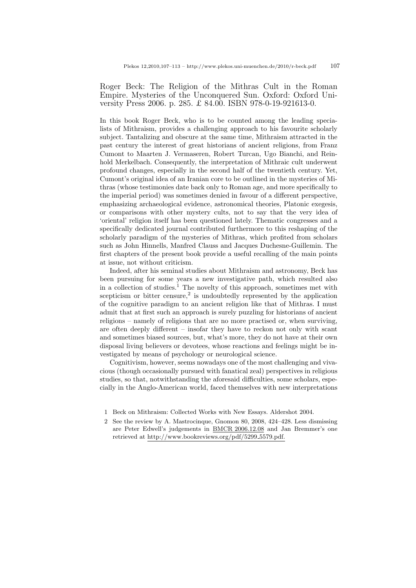## Roger Beck: The Religion of the Mithras Cult in the Roman Empire. Mysteries of the Unconquered Sun. Oxford: Oxford University Press 2006. p. 285. £ 84.00. ISBN 978-0-19-921613-0.

In this book Roger Beck, who is to be counted among the leading specialists of Mithraism, provides a challenging approach to his favourite scholarly subject. Tantalizing and obscure at the same time, Mithraism attracted in the past century the interest of great historians of ancient religions, from Franz Cumont to Maarten J. Vermaseren, Robert Turcan, Ugo Bianchi, and Reinhold Merkelbach. Consequently, the interpretation of Mithraic cult underwent profound changes, especially in the second half of the twentieth century. Yet, Cumont's original idea of an Iranian core to be outlined in the mysteries of Mithras (whose testimonies date back only to Roman age, and more specifically to the imperial period) was sometimes denied in favour of a different perspective, emphasizing archaeological evidence, astronomical theories, Platonic exegesis, or comparisons with other mystery cults, not to say that the very idea of 'oriental' religion itself has been questioned lately. Thematic congresses and a specifically dedicated journal contributed furthermore to this reshaping of the scholarly paradigm of the mysteries of Mithras, which profited from scholars such as John Hinnells, Manfred Clauss and Jacques Duchesne-Guillemin. The first chapters of the present book provide a useful recalling of the main points at issue, not without criticism.

Indeed, after his seminal studies about Mithraism and astronomy, Beck has been pursuing for some years a new investigative path, which resulted also in a collection of studies.<sup>[1](#page-0-0)</sup> The novelty of this approach, sometimes met with scepticism or bitter censure,<sup>[2](#page-0-1)</sup> is undoubtedly represented by the application of the cognitive paradigm to an ancient religion like that of Mithras. I must admit that at first such an approach is surely puzzling for historians of ancient religions – namely of religions that are no more practised or, when surviving, are often deeply different – insofar they have to reckon not only with scant and sometimes biased sources, but, what's more, they do not have at their own disposal living believers or devotees, whose reactions and feelings might be investigated by means of psychology or neurological science.

Cognitivism, however, seems nowadays one of the most challenging and vivacious (though occasionally pursued with fanatical zeal) perspectives in religious studies, so that, notwithstanding the aforesaid difficulties, some scholars, especially in the Anglo-American world, faced themselves with new interpretations

- <span id="page-0-0"></span>1 Beck on Mithraism: Collected Works with New Essays. Aldershot 2004.
- <span id="page-0-1"></span>2 See the review by A. Mastrocinque, Gnomon 80, 2008, 424–428. Less dismissing are Peter Edwell's judgements in [BMCR 2006.12.08](http://bmcr.brynmawr.edu/2006/2006-12-08.html) and Jan Bremmer's one retrieved at [http://www.bookreviews.org/pdf/5299](http://www.bookreviews.org/pdf/5299_5579.pdf) 5579.pdf.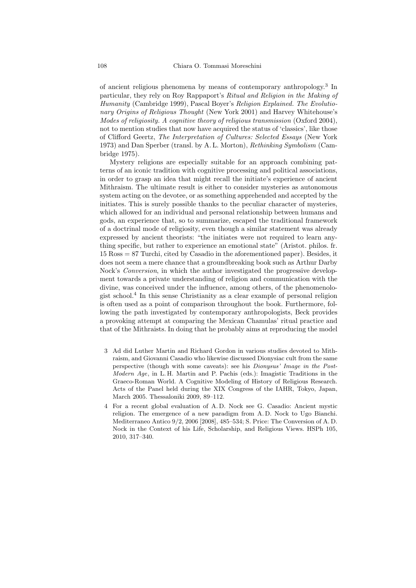of ancient religious phenomena by means of contemporary anthropology.[3](#page-1-0) In particular, they rely on Roy Rappaport's Ritual and Religion in the Making of Humanity (Cambridge 1999), Pascal Boyer's Religion Explained. The Evolutionary Origins of Religious Thought (New York 2001) and Harvey Whitehouse's Modes of religiosity. A cognitive theory of religious transmission (Oxford 2004), not to mention studies that now have acquired the status of 'classics', like those of Clifford Geertz, The Interpretation of Cultures: Selected Essays (New York 1973) and Dan Sperber (transl. by A. L. Morton), Rethinking Symbolism (Cambridge 1975).

Mystery religions are especially suitable for an approach combining patterns of an iconic tradition with cognitive processing and political associations, in order to grasp an idea that might recall the initiate's experience of ancient Mithraism. The ultimate result is either to consider mysteries as autonomous system acting on the devotee, or as something apprehended and accepted by the initiates. This is surely possible thanks to the peculiar character of mysteries, which allowed for an individual and personal relationship between humans and gods, an experience that, so to summarize, escaped the traditional framework of a doctrinal mode of religiosity, even though a similar statement was already expressed by ancient theorists: "the initiates were not required to learn anything specific, but rather to experience an emotional state" (Aristot. philos. fr. 15 Ross = 87 Turchi, cited by Casadio in the aforementioned paper). Besides, it does not seem a mere chance that a groundbreaking book such as Arthur Darby Nock's Conversion, in which the author investigated the progressive development towards a private understanding of religion and communication with the divine, was conceived under the influence, among others, of the phenomenologist school.[4](#page-1-1) In this sense Christianity as a clear example of personal religion is often used as a point of comparison throughout the book. Furthermore, following the path investigated by contemporary anthropologists, Beck provides a provoking attempt at comparing the Mexican Chamulas' ritual practice and that of the Mithraists. In doing that he probably aims at reproducing the model

- <span id="page-1-0"></span>3 Ad did Luther Martin and Richard Gordon in various studies devoted to Mithraism, and Giovanni Casadio who likewise discussed Dionysiac cult from the same perspective (though with some caveats): see his Dionysus' Image in the Post-*Modern Age*, in L. H. Martin and P. Pachis (eds.): Imagistic Traditions in the Graeco-Roman World. A Cognitive Modeling of History of Religious Research. Acts of the Panel held during the XIX Congress of the IAHR, Tokyo, Japan, March 2005. Thessaloniki 2009, 89–112.
- <span id="page-1-1"></span>4 For a recent global evaluation of A. D. Nock see G. Casadio: Ancient mystic religion. The emergence of a new paradigm from A. D. Nock to Ugo Bianchi. Mediterraneo Antico 9/2, 2006 [2008], 485–534; S. Price: The Conversion of A. D. Nock in the Context of his Life, Scholarship, and Religious Views. HSPh 105, 2010, 317–340.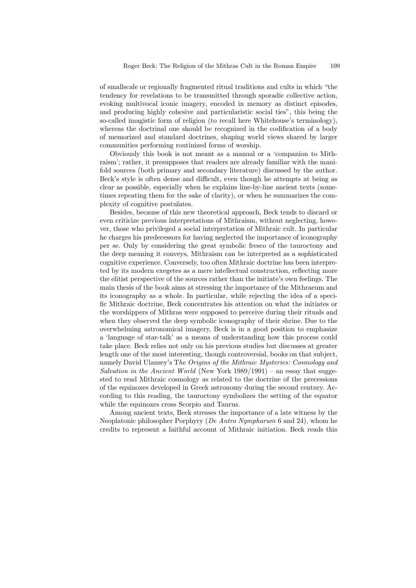of smallscale or regionally fragmented ritual traditions and cults in which "the tendency for revelations to be transmitted through sporadic collective action, evoking multivocal iconic imagery, encoded in memory as distinct episodes, and producing highly cohesive and particularistic social ties", this being the so-called imagistic form of religion (to recall here Whitehouse's terminology), whereas the doctrinal one should be recognized in the codification of a body of memorized and standard doctrines, shaping world views shared by larger communities performing routinized forms of worship.

Obviously this book is not meant as a manual or a 'companion to Mithraism'; rather, it presupposes that readers are already familiar with the manifold sources (both primary and secondary literature) discussed by the author. Beck's style is often dense and difficult, even though he attempts at being as clear as possible, especially when he explains line-by-line ancient texts (sometimes repeating them for the sake of clarity), or when he summarizes the complexity of cognitive postulates.

Besides, because of this new theoretical approach, Beck tends to discard or even criticize previous interpretations of Mithraism, without neglecting, however, those who privileged a social interpretation of Mithraic cult. In particular he charges his predecessors for having neglected the importance of iconography per se. Only by considering the great symbolic fresco of the tauroctony and the deep meaning it conveys, Mithraism can be interpreted as a sophisticated cognitive experience. Conversely, too often Mithraic doctrine has been interpreted by its modern exegetes as a mere intellectual construction, reflecting more the elitist perspective of the sources rather than the initiate's own feelings. The main thesis of the book aims at stressing the importance of the Mithraeum and its iconography as a whole. In particular, while rejecting the idea of a specific Mithraic doctrine, Beck concentrates his attention on what the initiates or the worshippers of Mithras were supposed to perceive during their rituals and when they observed the deep symbolic iconography of their shrine. Due to the overwhelming astronomical imagery, Beck is in a good position to emphasize a 'language of star-talk' as a means of understanding how this process could take place. Beck relies not only on his previous studies but discusses at greater length one of the most interesting, though controversial, books on that subject, namely David Ulansey's The Origins of the Mithraic Mysteries: Cosmology and Salvation in the Ancient World (New York  $1989/1991$ ) – an essay that suggested to read Mithraic cosmology as related to the doctrine of the precessions of the equinoxes developed in Greek astronomy during the second century. According to this reading, the tauroctony symbolizes the setting of the equator while the equinoxes cross Scorpio and Taurus.

Among ancient texts, Beck stresses the importance of a late witness by the Neoplatonic philosopher Porphyry (*De Antro Nympharum* 6 and 24), whom he credits to represent a faithful account of Mithraic initiation. Beck reads this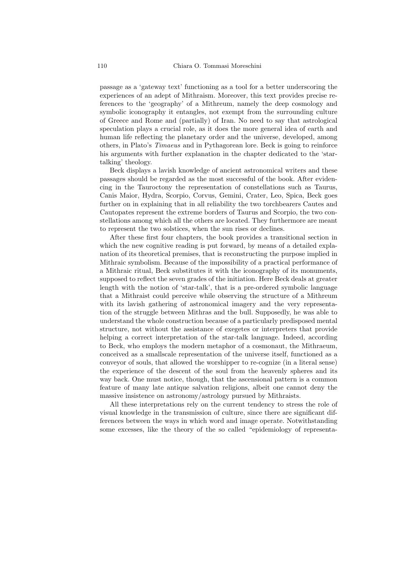passage as a 'gateway text' functioning as a tool for a better underscoring the experiences of an adept of Mithraism. Moreover, this text provides precise references to the 'geography' of a Mithreum, namely the deep cosmology and symbolic iconography it entangles, not exempt from the surrounding culture of Greece and Rome and (partially) of Iran. No need to say that astrological speculation plays a crucial role, as it does the more general idea of earth and human life reflecting the planetary order and the universe, developed, among others, in Plato's Timaeus and in Pythagorean lore. Beck is going to reinforce his arguments with further explanation in the chapter dedicated to the 'startalking' theology.

Beck displays a lavish knowledge of ancient astronomical writers and these passages should be regarded as the most successful of the book. After evidencing in the Tauroctony the representation of constellations such as Taurus, Canis Maior, Hydra, Scorpio, Corvus, Gemini, Crater, Leo, Spica, Beck goes further on in explaining that in all reliability the two torchbearers Cautes and Cautopates represent the extreme borders of Taurus and Scorpio, the two constellations among which all the others are located. They furthermore are meant to represent the two solstices, when the sun rises or declines.

After these first four chapters, the book provides a transitional section in which the new cognitive reading is put forward, by means of a detailed explanation of its theoretical premises, that is reconstructing the purpose implied in Mithraic symbolism. Because of the impossibility of a practical performance of a Mithraic ritual, Beck substitutes it with the iconography of its monuments, supposed to reflect the seven grades of the initiation. Here Beck deals at greater length with the notion of 'star-talk', that is a pre-ordered symbolic language that a Mithraist could perceive while observing the structure of a Mithreum with its lavish gathering of astronomical imagery and the very representation of the struggle between Mithras and the bull. Supposedly, he was able to understand the whole construction because of a particularly predisposed mental structure, not without the assistance of exegetes or interpreters that provide helping a correct interpretation of the star-talk language. Indeed, according to Beck, who employs the modern metaphor of a cosmonaut, the Mithraeum, conceived as a smallscale representation of the universe itself, functioned as a conveyor of souls, that allowed the worshipper to re-cognize (in a literal sense) the experience of the descent of the soul from the heavenly spheres and its way back. One must notice, though, that the ascensional pattern is a common feature of many late antique salvation religions, albeit one cannot deny the massive insistence on astronomy/astrology pursued by Mithraists.

All these interpretations rely on the current tendency to stress the role of visual knowledge in the transmission of culture, since there are significant differences between the ways in which word and image operate. Notwithstanding some excesses, like the theory of the so called "epidemiology of representa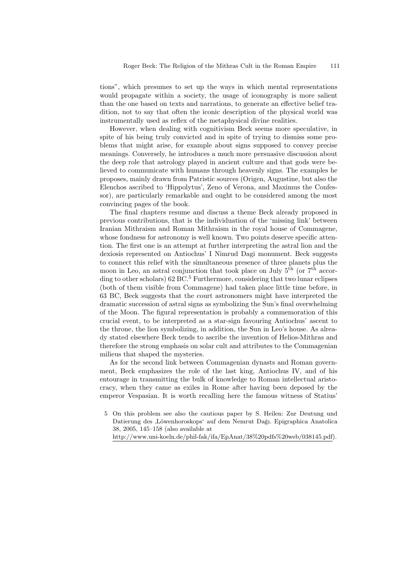tions", which presumes to set up the ways in which mental representations would propagate within a society, the usage of iconography is more salient than the one based on texts and narrations, to generate an effective belief tradition, not to say that often the iconic description of the physical world was instrumentally used as reflex of the metaphysical divine realities.

However, when dealing with cognitivism Beck seems more speculative, in spite of his being truly convicted and in spite of trying to dismiss some problems that might arise, for example about signs supposed to convey precise meanings. Conversely, he introduces a much more persuasive discussion about the deep role that astrology played in ancient culture and that gods were believed to communicate with humans through heavenly signs. The examples he proposes, mainly drawn from Patristic sources (Origen, Augustine, but also the Elenchos ascribed to 'Hippolytus', Zeno of Verona, and Maximus the Confessor), are particularly remarkable and ought to be considered among the most convincing pages of the book.

The final chapters resume and discuss a theme Beck already proposed in previous contributions, that is the individuation of the 'missing link' between Iranian Mithraism and Roman Mithraism in the royal house of Commagene, whose fondness for astronomy is well known. Two points deserve specific attention. The first one is an attempt at further interpreting the astral lion and the dexiosis represented on Antiochus' I Nimrud Dagi monument. Beck suggests to connect this relief with the simultaneous presence of three planets plus the moon in Leo, an astral conjunction that took place on July  $5<sup>th</sup>$  (or  $7<sup>th</sup>$  accor- $\gamma$  ding to other scholars) 62 BC.<sup>[5](#page-4-0)</sup> Furthermore, considering that two lunar eclipses (both of them visible from Commagene) had taken place little time before, in 63 BC, Beck suggests that the court astronomers might have interpreted the dramatic succession of astral signs as symbolizing the Sun's final overwhelming of the Moon. The figural representation is probably a commemoration of this crucial event, to be interpreted as a star-sign favouring Antiochus' ascent to the throne, the lion symbolizing, in addition, the Sun in Leo's house. As already stated elsewhere Beck tends to ascribe the invention of Helios-Mithras and therefore the strong emphasis on solar cult and attributes to the Commagenian milieus that shaped the mysteries.

As for the second link between Commagenian dynasts and Roman government, Beck emphasizes the role of the last king, Antiochus IV, and of his entourage in transmitting the bulk of knowledge to Roman intellectual aristocracy, when they came as exiles in Rome after having been deposed by the emperor Vespasian. It is worth recalling here the famous witness of Statius'

[http://www.uni-koeln.de/phil-fak/ifa/EpAnat/38%20pdfs%20web/038145.pdf\)](http://www.uni-koeln.de/phil-fak/ifa/EpAnat/38%20pdfs%20web/038145.pdf).

<span id="page-4-0"></span><sup>5</sup> On this problem see also the cautious paper by S. Heilen: Zur Deutung und Datierung des ,Löwenhoroskops' auf dem Nemrut Dağı. Epigraphica Anatolica<br>22.2005.145.152.(desember 1111) 38, 2005, 145–158 (also available at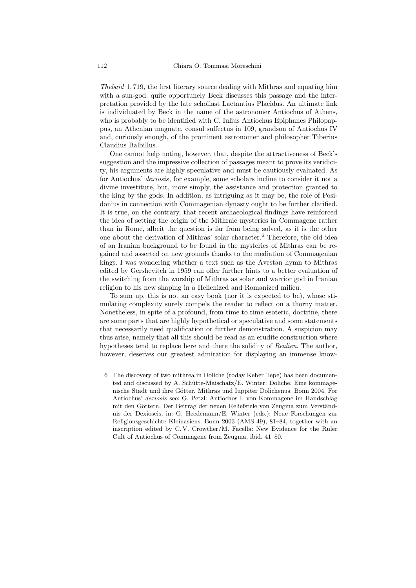Thebaid 1, 719, the first literary source dealing with Mithras and equating him with a sun-god: quite opportunely Beck discusses this passage and the interpretation provided by the late scholiast Lactantius Placidus. An ultimate link is individuated by Beck in the name of the astronomer Antiochus of Athens, who is probably to be identified with C. Iulius Antiochus Epiphanes Philopappus, an Athenian magnate, consul suffectus in 109, grandson of Antiochus IV and, curiously enough, of the prominent astronomer and philosopher Tiberius Claudius Balbillus.

One cannot help noting, however, that, despite the attractiveness of Beck's suggestion and the impressive collection of passages meant to prove its veridicity, his arguments are highly speculative and must be cautiously evaluated. As for Antiochus' dexiosis, for example, some scholars incline to consider it not a divine investiture, but, more simply, the assistance and protection granted to the king by the gods. In addition, as intriguing as it may be, the role of Posidonius in connection with Commagenian dynasty ought to be further clarified. It is true, on the contrary, that recent archaeological findings have reinforced the idea of setting the origin of the Mithraic mysteries in Commagene rather than in Rome, albeit the question is far from being solved, as it is the other one about the derivation of Mithras' solar character.[6](#page-5-0) Therefore, the old idea of an Iranian background to be found in the mysteries of Mithras can be regained and asserted on new grounds thanks to the mediation of Commagenian kings. I was wondering whether a text such as the Avestan hymn to Mithras edited by Gershevitch in 1959 can offer further hints to a better evaluation of the switching from the worship of Mithras as solar and warrior god in Iranian religion to his new shaping in a Hellenized and Romanized milieu.

To sum up, this is not an easy book (nor it is expected to be), whose stimulating complexity surely compels the reader to reflect on a thorny matter. Nonetheless, in spite of a profound, from time to time esoteric, doctrine, there are some parts that are highly hypothetical or speculative and some statements that necessarily need qualification or further demonstration. A suspicion may thus arise, namely that all this should be read as an erudite construction where hypotheses tend to replace here and there the solidity of Realien. The author, however, deserves our greatest admiration for displaying an immense know-

<span id="page-5-0"></span>6 The discovery of two mithrea in Doliche (today Keber Tepe) has been documented and discussed by A. Schütte-Maischatz/E. Winter: Doliche. Eine kommagenische Stadt und ihre Götter. Mithras und Iuppiter Dolichenus. Bonn 2004. For Antiochus' dexiosis see: G. Petzl: Antiochos I. von Kommagene im Handschlag mit den Göttern. Der Beitrag der neuen Reliefstele von Zeugma zum Verständnis der Dexioseis, in: G. Heedemann/E. Winter (eds.): Neue Forschungen zur Religionsgeschichte Kleinasiens. Bonn 2003 (AMS 49), 81–84, together with an inscription edited by C. V. Crowther/M. Facella: New Evidence for the Ruler Cult of Antiochus of Commagene from Zeugma, ibid. 41–80.